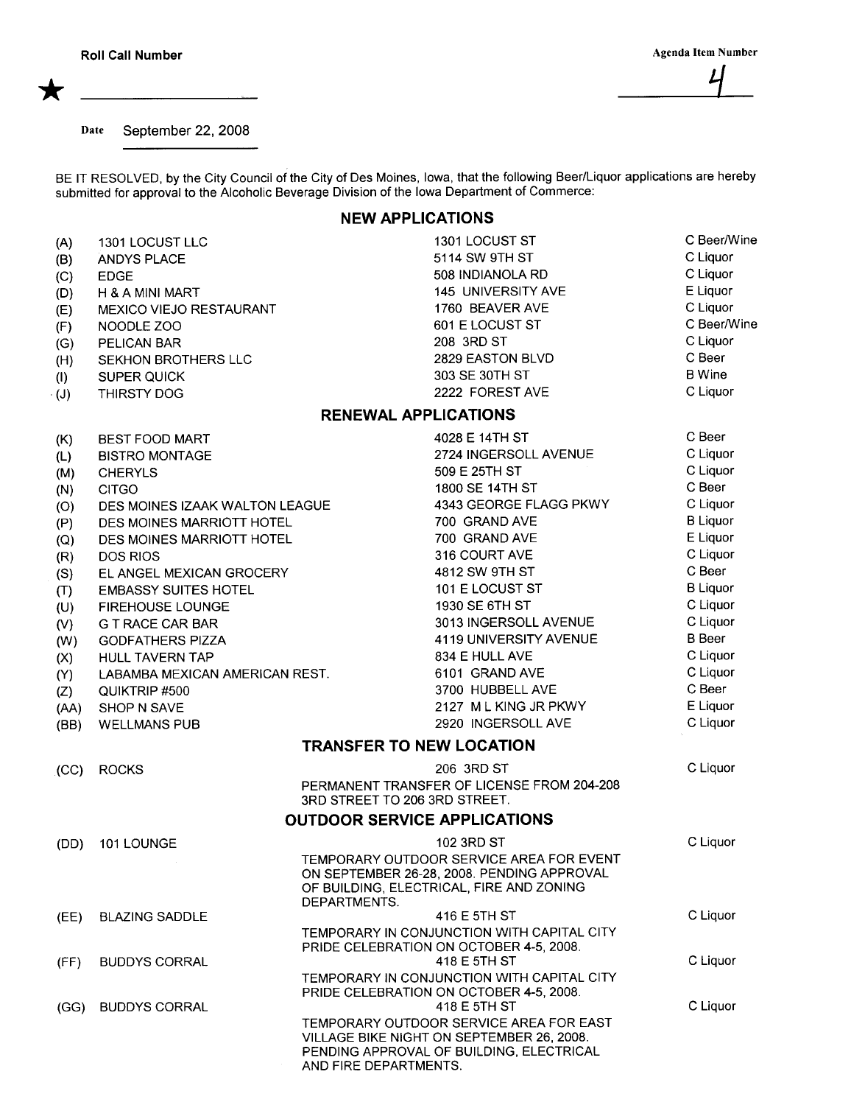\*

Date September 22, 2008

BE IT RESOLVED, by the City Council of the City of Des Moines, Iowa, that the following Beer/Liquor applications are hereby submitted for approval to the Alcoholic Beverage Division of the Iowa Department of Commerce:

## NEW APPLICATIONS

| (A)                                 | 1301 LOCUST LLC                |                                 | 1301 LOCUST ST                             | C Beer/Wine     |  |
|-------------------------------------|--------------------------------|---------------------------------|--------------------------------------------|-----------------|--|
| (B)                                 | <b>ANDYS PLACE</b>             |                                 | 5114 SW 9TH ST                             | C Liquor        |  |
| (C)                                 | <b>EDGE</b>                    |                                 | 508 INDIANOLA RD                           | C Liquor        |  |
| (D)                                 | <b>H &amp; A MINI MART</b>     |                                 | 145 UNIVERSITY AVE                         | E Liquor        |  |
| (E)                                 | MEXICO VIEJO RESTAURANT        |                                 | 1760 BEAVER AVE                            | C Liquor        |  |
| (F)                                 | NOODLE ZOO                     |                                 | 601 E LOCUST ST                            | C Beer/Wine     |  |
| (G)                                 | PELICAN BAR                    |                                 | 208 3RD ST                                 | C Liquor        |  |
| (H)                                 | SEKHON BROTHERS LLC            |                                 | 2829 EASTON BLVD                           | C Beer          |  |
| (1)                                 | <b>SUPER QUICK</b>             |                                 | 303 SE 30TH ST                             | <b>B</b> Wine   |  |
| $\cdot$ (J)                         | THIRSTY DOG                    |                                 | 2222 FOREST AVE                            | C Liquor        |  |
|                                     |                                | <b>RENEWAL APPLICATIONS</b>     |                                            |                 |  |
| (K)                                 | BEST FOOD MART                 |                                 | 4028 E 14TH ST                             | C Beer          |  |
| (L)                                 | <b>BISTRO MONTAGE</b>          |                                 | 2724 INGERSOLL AVENUE                      | C Liquor        |  |
| (M)                                 | <b>CHERYLS</b>                 |                                 | 509 E 25TH ST                              | C Liquor        |  |
| (N)                                 | <b>CITGO</b>                   |                                 | 1800 SE 14TH ST                            | C Beer          |  |
| (O)                                 | DES MOINES IZAAK WALTON LEAGUE |                                 | 4343 GEORGE FLAGG PKWY                     | C Liquor        |  |
| (P)                                 | DES MOINES MARRIOTT HOTEL      |                                 | 700 GRAND AVE                              | <b>B</b> Liquor |  |
| (Q)                                 | DES MOINES MARRIOTT HOTEL      |                                 | 700 GRAND AVE                              | E Liquor        |  |
| (R)                                 | <b>DOS RIOS</b>                |                                 | 316 COURT AVE                              | C Liquor        |  |
| (S)                                 | EL ANGEL MEXICAN GROCERY       |                                 | 4812 SW 9TH ST                             | C Beer          |  |
| (T)                                 | <b>EMBASSY SUITES HOTEL</b>    |                                 | 101 E LOCUST ST                            | <b>B</b> Liquor |  |
| (U)                                 | FIREHOUSE LOUNGE               |                                 | 1930 SE 6TH ST                             | C Liquor        |  |
| (V)                                 | <b>G T RACE CAR BAR</b>        |                                 | 3013 INGERSOLL AVENUE                      | C Liquor        |  |
| (W)                                 | <b>GODFATHERS PIZZA</b>        |                                 | 4119 UNIVERSITY AVENUE                     | <b>B</b> Beer   |  |
| (X)                                 | <b>HULL TAVERN TAP</b>         |                                 | 834 E HULL AVE                             | C Liquor        |  |
| (Y)                                 | LABAMBA MEXICAN AMERICAN REST. |                                 | 6101 GRAND AVE                             | C Liquor        |  |
| (Z)                                 | QUIKTRIP #500                  |                                 | 3700 HUBBELL AVE                           | C Beer          |  |
| (AA)                                | SHOP N SAVE                    |                                 | 2127 ML KING JR PKWY                       | E Liquor        |  |
| (BB)                                | <b>WELLMANS PUB</b>            |                                 | 2920 INGERSOLL AVE                         | C Liquor        |  |
|                                     |                                | <b>TRANSFER TO NEW LOCATION</b> |                                            |                 |  |
| (CC)                                | <b>ROCKS</b>                   |                                 | 206 3RD ST                                 | C Liquor        |  |
|                                     |                                |                                 | PERMANENT TRANSFER OF LICENSE FROM 204-208 |                 |  |
|                                     |                                | 3RD STREET TO 206 3RD STREET.   |                                            |                 |  |
| <b>OUTDOOR SERVICE APPLICATIONS</b> |                                |                                 |                                            |                 |  |
| (DD)                                | 101 LOUNGE                     |                                 | 102 3RD ST                                 | C Liquor        |  |
|                                     |                                |                                 | TEMPORARY OUTDOOR SERVICE AREA FOR EVENT   |                 |  |
|                                     |                                |                                 | ON SEPTEMBER 26-28, 2008. PENDING APPROVAL |                 |  |
|                                     |                                |                                 | OF BUILDING, ELECTRICAL, FIRE AND ZONING   |                 |  |
|                                     | <b>BLAZING SADDLE</b>          | DEPARTMENTS.                    | 416 E 5TH ST                               | C Liquor        |  |
| (EE)                                |                                |                                 | TEMPORARY IN CONJUNCTION WITH CAPITAL CITY |                 |  |
|                                     |                                |                                 | PRIDE CELEBRATION ON OCTOBER 4-5, 2008.    |                 |  |
| (FF)                                | <b>BUDDYS CORRAL</b>           |                                 | 418 E 5TH ST                               | C Liquor        |  |
|                                     |                                |                                 | TEMPORARY IN CONJUNCTION WITH CAPITAL CITY |                 |  |
|                                     |                                |                                 | PRIDE CELEBRATION ON OCTOBER 4-5, 2008.    |                 |  |
| (GG)                                | <b>BUDDYS CORRAL</b>           |                                 | 418 E 5TH ST                               | C Liquor        |  |
|                                     |                                |                                 | TEMPORARY OUTDOOR SERVICE AREA FOR EAST    |                 |  |
|                                     |                                |                                 | VILLAGE BIKE NIGHT ON SEPTEMBER 26, 2008.  |                 |  |
|                                     | AND FIRE DEPARTMENTS.          |                                 | PENDING APPROVAL OF BUILDING, ELECTRICAL   |                 |  |
|                                     |                                |                                 |                                            |                 |  |